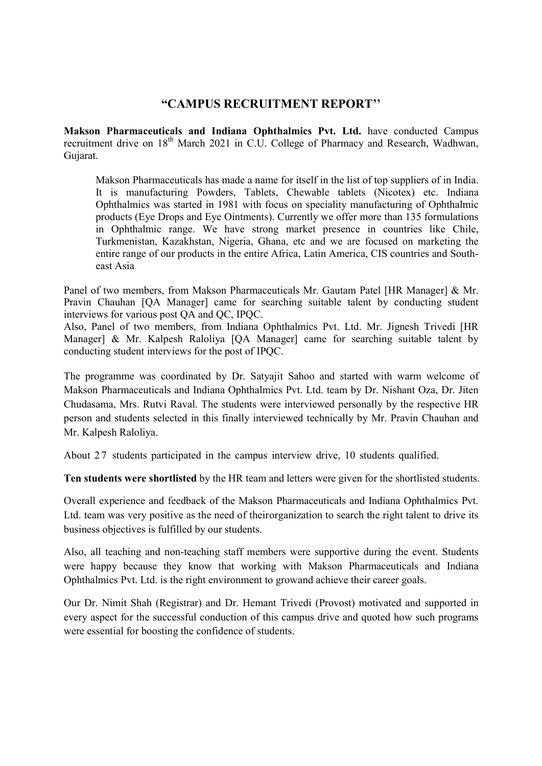## "CAMPUS RECRUITMENT REPORT''

Makson Pharmaceuticals and Indiana Ophthalmics Pvt. Ltd. have conducted Campus recruitment drive on 18<sup>th</sup> March 2021 in C.U. College of Pharmacy and Research, Wadhwan, Gujarat.

Makson Pharmaceuticals has made a name for itself in the list of top suppliers of in India. It is manufacturing Powders, Tablets, Chewable tablets (Nicotex) etc. Indiana Ophthalmics was started in 1981 with focus on speciality manufacturing of Ophthalmic products (Eye Drops and Eye Ointments). Currently we offer more than 135 formulations in Ophthalmic range. We have strong market presence in countries like Chile, Turkmenistan, Kazakhstan, Nigeria, Ghana, etc and we are focused on marketing the entire range of our products in the entire Africa, Latin America, CIS countries and Southeast Asia.

Panel of two members, from Makson Pharmaceuticals Mr. Gautam Patel [HR Manager] & Mr. Pravin Chauhan [QA Manager] came for searching suitable talent by conducting student interviews for various post QA and QC, IPQC.

Also, Panel of two members, from Indiana Ophthalmics Pvt. Ltd. Mr. Jignesh Trivedi [HR Manager] & Mr. Kalpesh Raloliya [QA Manager] came for searching suitable talent by conducting student interviews for the post of IPQC.

The programme was coordinated by Dr. Satyajit Sahoo and started with warm welcome of Makson Pharmaceuticals and Indiana Ophthalmics Pvt. Ltd. team by Dr. Nishant Oza, Dr. Jiten Chudasama, Mrs. Rutvi Raval. The students were interviewed personally by the respective HR person and students selected in this finally interviewed technically by Mr. Pravin Chauhan and Mr. Kalpesh Raloliya.

About 27 students participated in the campus interview drive, 10 students qualified.

Ten students were shortlisted by the HR team and letters were given for the shortlisted students.

Overall experience and feedback of the Makson Pharmaceuticals and Indiana Ophthalmics Pvt. Ltd. team was very positive as the need of their organization to search the right talent to drive its business objectives is fulfilled by our students.

Also, all teaching and non-teaching staff members were supportive during the event. Students were happy because they know that working with Makson Pharmaceuticals and Indiana Ophthalmics Pvt. Ltd. is the right environment to grow and achieve their career goals.

Our Dr. Nimit Shah (Registrar) and Dr. Hemant Trivedi (Provost) motivated and supported in every aspect for the successful conduction of this campus drive and quoted how such programs were essential for boosting the confidence of students.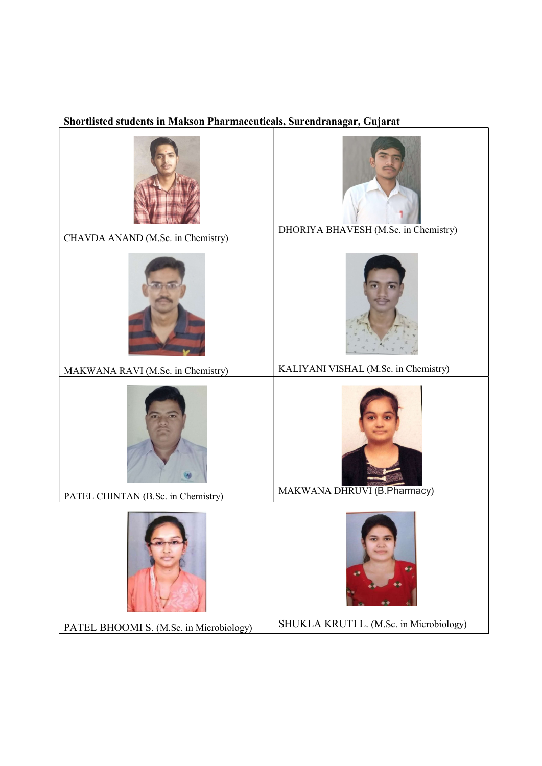## Shortlisted students in Makson Pharmaceuticals, Surendranagar, Gujarat

| CHAVDA ANAND (M.Sc. in Chemistry)       | DHORIYA BHAVESH (M.Sc. in Chemistry)    |  |
|-----------------------------------------|-----------------------------------------|--|
|                                         |                                         |  |
| MAKWANA RAVI (M.Sc. in Chemistry)       | KALIYANI VISHAL (M.Sc. in Chemistry)    |  |
|                                         |                                         |  |
| PATEL CHINTAN (B.Sc. in Chemistry)      | MAKWANA DHRUVI (B.Pharmacy)             |  |
|                                         |                                         |  |
| PATEL BHOOMI S. (M.Sc. in Microbiology) | SHUKLA KRUTI L. (M.Sc. in Microbiology) |  |